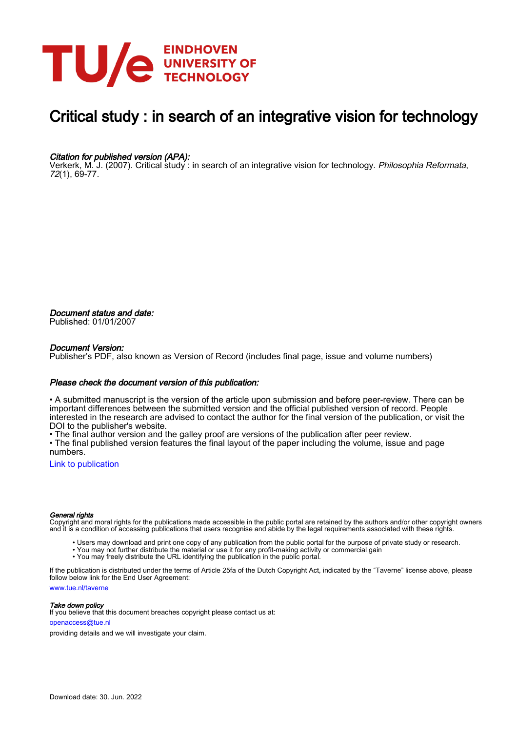

# Critical study : in search of an integrative vision for technology

# Citation for published version (APA):

Verkerk, M. J. (2007). Critical study : in search of an integrative vision for technology. Philosophia Reformata, 72(1), 69-77.

Document status and date: Published: 01/01/2007

# Document Version:

Publisher's PDF, also known as Version of Record (includes final page, issue and volume numbers)

# Please check the document version of this publication:

• A submitted manuscript is the version of the article upon submission and before peer-review. There can be important differences between the submitted version and the official published version of record. People interested in the research are advised to contact the author for the final version of the publication, or visit the DOI to the publisher's website.

• The final author version and the galley proof are versions of the publication after peer review.

• The final published version features the final layout of the paper including the volume, issue and page numbers.

[Link to publication](https://research.tue.nl/en/publications/ef0950bb-6cc3-49e8-9908-17388cddc7b8)

#### General rights

Copyright and moral rights for the publications made accessible in the public portal are retained by the authors and/or other copyright owners and it is a condition of accessing publications that users recognise and abide by the legal requirements associated with these rights.

- Users may download and print one copy of any publication from the public portal for the purpose of private study or research.
- You may not further distribute the material or use it for any profit-making activity or commercial gain
- You may freely distribute the URL identifying the publication in the public portal.

If the publication is distributed under the terms of Article 25fa of the Dutch Copyright Act, indicated by the "Taverne" license above, please follow below link for the End User Agreement:

www.tue.nl/taverne

**Take down policy**<br>If you believe that this document breaches copyright please contact us at:

openaccess@tue.nl

providing details and we will investigate your claim.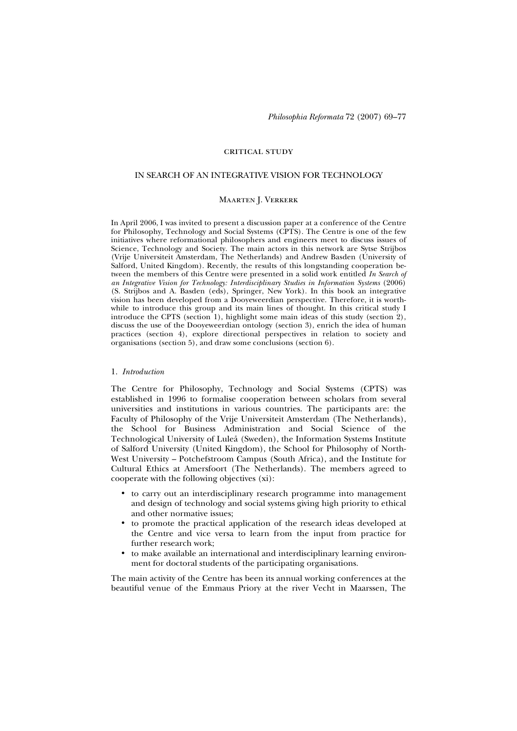# critical study

# IN SEARCH OF AN INTEGRATIVE VISION FOR TECHNOLOGY

# MAARTEN J. VERKERK

In April 2006, I was invited to present a discussion paper at a conference of the Centre for Philosophy, Technology and Social Systems (CPTS). The Centre is one of the few initiatives where reformational philosophers and engineers meet to discuss issues of Science, Technology and Society. The main actors in this network are Sytse Strijbos (Vrije Universiteit Amsterdam, The Netherlands) and Andrew Basden (University of Salford, United Kingdom). Recently, the results of this longstanding cooperation between the members of this Centre were presented in a solid work entitled *In Search of an Integrative Vision for Technology: Interdisciplinary Studies in Information Systems* (2006) (S. Strijbos and A. Basden (eds), Springer, New York). In this book an integrative vision has been developed from a Dooyeweerdian perspective. Therefore, it is worthwhile to introduce this group and its main lines of thought. In this critical study I introduce the CPTS (section 1), highlight some main ideas of this study (section 2), discuss the use of the Dooyeweerdian ontology (section 3), enrich the idea of human practices (section 4), explore directional perspectives in relation to society and organisations (section 5), and draw some conclusions (section 6).

#### 1. *Introduction*

The Centre for Philosophy, Technology and Social Systems (CPTS) was established in 1996 to formalise cooperation between scholars from several universities and institutions in various countries. The participants are: the Faculty of Philosophy of the Vrije Universiteit Amsterdam (The Netherlands), the School for Business Administration and Social Science of the Technological University of Luleå (Sweden), the Information Systems Institute of Salford University (United Kingdom), the School for Philosophy of North-West University – Potchefstroom Campus (South Africa), and the Institute for Cultural Ethics at Amersfoort (The Netherlands). The members agreed to cooperate with the following objectives (xi):

- to carry out an interdisciplinary research programme into management and design of technology and social systems giving high priority to ethical and other normative issues;
- to promote the practical application of the research ideas developed at the Centre and vice versa to learn from the input from practice for further research work;
- to make available an international and interdisciplinary learning environment for doctoral students of the participating organisations.

The main activity of the Centre has been its annual working conferences at the beautiful venue of the Emmaus Priory at the river Vecht in Maarssen, The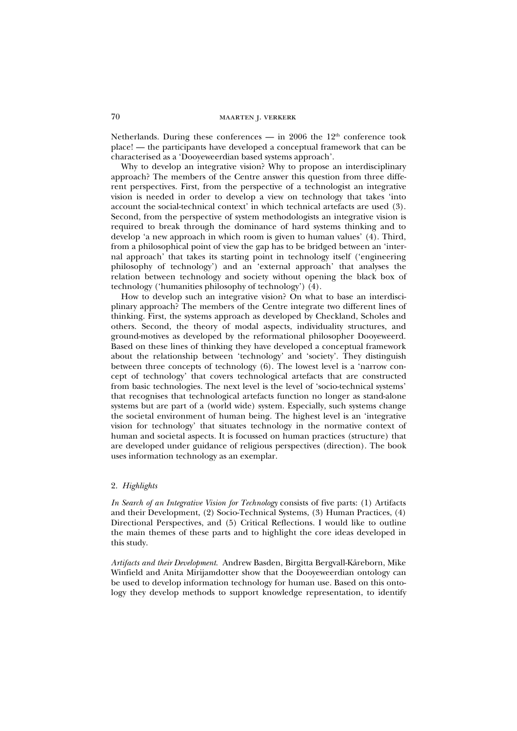# 70 maarten j. verkerk

Netherlands. During these conferences — in 2006 the  $12<sup>th</sup>$  conference took place! — the participants have developed a conceptual framework that can be characterised as a 'Dooyeweerdian based systems approach'.

Why to develop an integrative vision? Why to propose an interdisciplinary approach? The members of the Centre answer this question from three different perspectives. First, from the perspective of a technologist an integrative vision is needed in order to develop a view on technology that takes 'into account the social-technical context' in which technical artefacts are used (3). Second, from the perspective of system methodologists an integrative vision is required to break through the dominance of hard systems thinking and to develop 'a new approach in which room is given to human values' (4). Third, from a philosophical point of view the gap has to be bridged between an 'internal approach' that takes its starting point in technology itself ('engineering philosophy of technology') and an 'external approach' that analyses the relation between technology and society without opening the black box of technology ('humanities philosophy of technology') (4).

How to develop such an integrative vision? On what to base an interdisciplinary approach? The members of the Centre integrate two different lines of thinking. First, the systems approach as developed by Checkland, Scholes and others. Second, the theory of modal aspects, individuality structures, and ground-motives as developed by the reformational philosopher Dooyeweerd. Based on these lines of thinking they have developed a conceptual framework about the relationship between 'technology' and 'society'. They distinguish between three concepts of technology (6). The lowest level is a 'narrow concept of technology' that covers technological artefacts that are constructed from basic technologies. The next level is the level of 'socio-technical systems' that recognises that technological artefacts function no longer as stand-alone systems but are part of a (world wide) system. Especially, such systems change the societal environment of human being. The highest level is an 'integrative vision for technology' that situates technology in the normative context of human and societal aspects. It is focussed on human practices (structure) that are developed under guidance of religious perspectives (direction). The book uses information technology as an exemplar.

#### 2. *Highlights*

*In Search of an Integrative Vision for Technology* consists of five parts: (1) Artifacts and their Development, (2) Socio-Technical Systems, (3) Human Practices, (4) Directional Perspectives, and (5) Critical Reflections. I would like to outline the main themes of these parts and to highlight the core ideas developed in this study.

*Artifacts and their Development*. Andrew Basden, Birgitta Bergvall-Kåreborn, Mike Winfield and Anita Mirijamdotter show that the Dooyeweerdian ontology can be used to develop information technology for human use. Based on this ontology they develop methods to support knowledge representation, to identify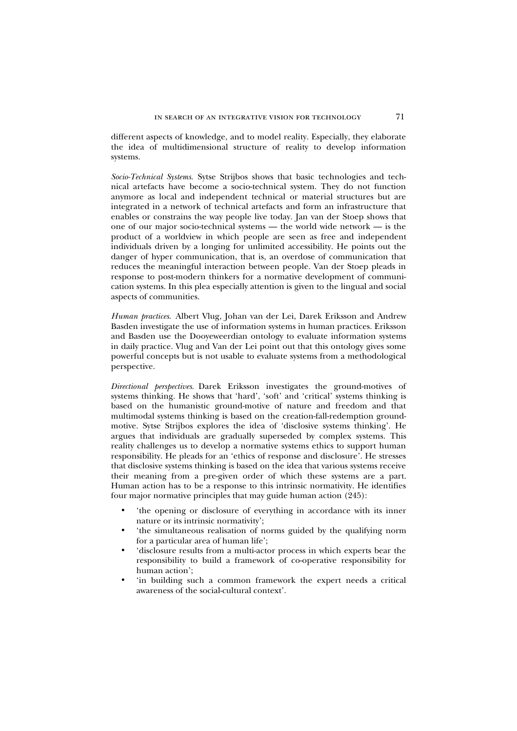different aspects of knowledge, and to model reality. Especially, they elaborate the idea of multidimensional structure of reality to develop information systems.

*Socio-Technical Systems*. Sytse Strijbos shows that basic technologies and technical artefacts have become a socio-technical system. They do not function anymore as local and independent technical or material structures but are integrated in a network of technical artefacts and form an infrastructure that enables or constrains the way people live today. Jan van der Stoep shows that one of our major socio-technical systems — the world wide network — is the product of a worldview in which people are seen as free and independent individuals driven by a longing for unlimited accessibility. He points out the danger of hyper communication, that is, an overdose of communication that reduces the meaningful interaction between people. Van der Stoep pleads in response to post-modern thinkers for a normative development of communication systems. In this plea especially attention is given to the lingual and social aspects of communities.

*Human practices*. Albert Vlug, Johan van der Lei, Darek Eriksson and Andrew Basden investigate the use of information systems in human practices. Eriksson and Basden use the Dooyeweerdian ontology to evaluate information systems in daily practice. Vlug and Van der Lei point out that this ontology gives some powerful concepts but is not usable to evaluate systems from a methodological perspective.

*Directional perspectives*. Darek Eriksson investigates the ground-motives of systems thinking. He shows that 'hard', 'soft' and 'critical' systems thinking is based on the humanistic ground-motive of nature and freedom and that multimodal systems thinking is based on the creation-fall-redemption groundmotive. Sytse Strijbos explores the idea of 'disclosive systems thinking'. He argues that individuals are gradually superseded by complex systems. This reality challenges us to develop a normative systems ethics to support human responsibility. He pleads for an 'ethics of response and disclosure'. He stresses that disclosive systems thinking is based on the idea that various systems receive their meaning from a pre-given order of which these systems are a part. Human action has to be a response to this intrinsic normativity. He identifies four major normative principles that may guide human action (245):

- 'the opening or disclosure of everything in accordance with its inner nature or its intrinsic normativity';
- 'the simultaneous realisation of norms guided by the qualifying norm for a particular area of human life';
- 'disclosure results from a multi-actor process in which experts bear the responsibility to build a framework of co-operative responsibility for human action';
- 'in building such a common framework the expert needs a critical awareness of the social-cultural context'.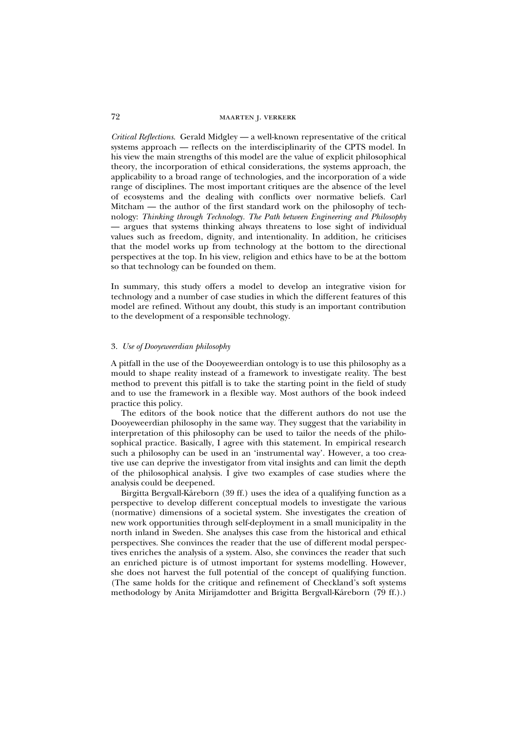# 72 maarten j. verkerk

*Critical Reflections*. Gerald Midgley — a well-known representative of the critical systems approach — reflects on the interdisciplinarity of the CPTS model. In his view the main strengths of this model are the value of explicit philosophical theory, the incorporation of ethical considerations, the systems approach, the applicability to a broad range of technologies, and the incorporation of a wide range of disciplines. The most important critiques are the absence of the level of ecosystems and the dealing with conflicts over normative beliefs. Carl Mitcham — the author of the first standard work on the philosophy of technology: *Thinking through Technology. The Path between Engineering and Philosophy* — argues that systems thinking always threatens to lose sight of individual values such as freedom, dignity, and intentionality. In addition, he criticises that the model works up from technology at the bottom to the directional perspectives at the top. In his view, religion and ethics have to be at the bottom so that technology can be founded on them.

In summary, this study offers a model to develop an integrative vision for technology and a number of case studies in which the different features of this model are refined. Without any doubt, this study is an important contribution to the development of a responsible technology.

# 3. *Use of Dooyeweerdian philosophy*

A pitfall in the use of the Dooyeweerdian ontology is to use this philosophy as a mould to shape reality instead of a framework to investigate reality. The best method to prevent this pitfall is to take the starting point in the field of study and to use the framework in a flexible way. Most authors of the book indeed practice this policy.

The editors of the book notice that the different authors do not use the Dooyeweerdian philosophy in the same way. They suggest that the variability in interpretation of this philosophy can be used to tailor the needs of the philosophical practice. Basically, I agree with this statement. In empirical research such a philosophy can be used in an 'instrumental way'. However, a too creative use can deprive the investigator from vital insights and can limit the depth of the philosophical analysis. I give two examples of case studies where the analysis could be deepened.

Birgitta Bergvall-Kåreborn (39 ff.) uses the idea of a qualifying function as a perspective to develop different conceptual models to investigate the various (normative) dimensions of a societal system. She investigates the creation of new work opportunities through self-deployment in a small municipality in the north inland in Sweden. She analyses this case from the historical and ethical perspectives. She convinces the reader that the use of different modal perspectives enriches the analysis of a system. Also, she convinces the reader that such an enriched picture is of utmost important for systems modelling. However, she does not harvest the full potential of the concept of qualifying function. (The same holds for the critique and refinement of Checkland's soft systems methodology by Anita Mirijamdotter and Brigitta Bergvall-Kåreborn (79 ff.).)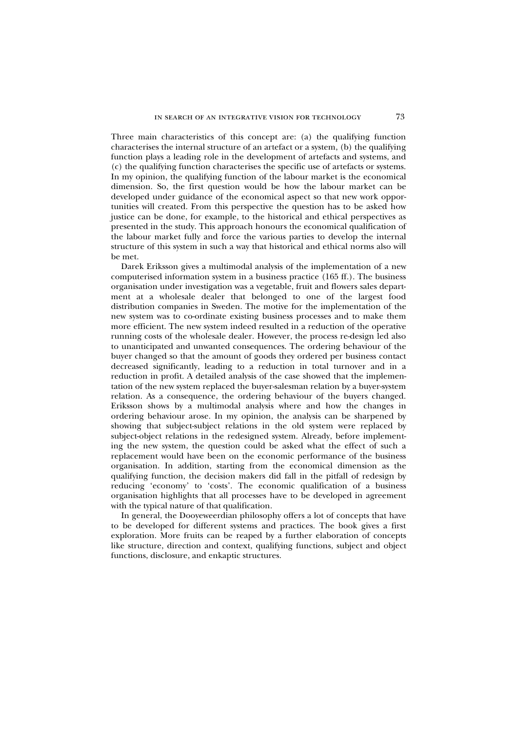Three main characteristics of this concept are: (a) the qualifying function characterises the internal structure of an artefact or a system, (b) the qualifying function plays a leading role in the development of artefacts and systems, and (c) the qualifying function characterises the specific use of artefacts or systems. In my opinion, the qualifying function of the labour market is the economical dimension. So, the first question would be how the labour market can be developed under guidance of the economical aspect so that new work opportunities will created. From this perspective the question has to be asked how justice can be done, for example, to the historical and ethical perspectives as presented in the study. This approach honours the economical qualification of the labour market fully and force the various parties to develop the internal structure of this system in such a way that historical and ethical norms also will be met.

Darek Eriksson gives a multimodal analysis of the implementation of a new computerised information system in a business practice (165 ff.). The business organisation under investigation was a vegetable, fruit and flowers sales department at a wholesale dealer that belonged to one of the largest food distribution companies in Sweden. The motive for the implementation of the new system was to co-ordinate existing business processes and to make them more efficient. The new system indeed resulted in a reduction of the operative running costs of the wholesale dealer. However, the process re-design led also to unanticipated and unwanted consequences. The ordering behaviour of the buyer changed so that the amount of goods they ordered per business contact decreased significantly, leading to a reduction in total turnover and in a reduction in profit. A detailed analysis of the case showed that the implementation of the new system replaced the buyer-salesman relation by a buyer-system relation. As a consequence, the ordering behaviour of the buyers changed. Eriksson shows by a multimodal analysis where and how the changes in ordering behaviour arose. In my opinion, the analysis can be sharpened by showing that subject-subject relations in the old system were replaced by subject-object relations in the redesigned system. Already, before implementing the new system, the question could be asked what the effect of such a replacement would have been on the economic performance of the business organisation. In addition, starting from the economical dimension as the qualifying function, the decision makers did fall in the pitfall of redesign by reducing 'economy' to 'costs'. The economic qualification of a business organisation highlights that all processes have to be developed in agreement with the typical nature of that qualification.

In general, the Dooyeweerdian philosophy offers a lot of concepts that have to be developed for different systems and practices. The book gives a first exploration. More fruits can be reaped by a further elaboration of concepts like structure, direction and context, qualifying functions, subject and object functions, disclosure, and enkaptic structures.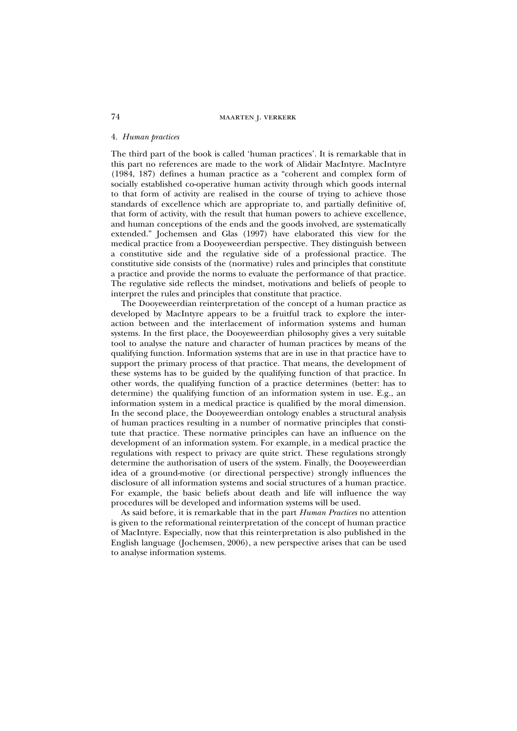# 4. *Human practices*

The third part of the book is called 'human practices'. It is remarkable that in this part no references are made to the work of Alidair MacIntyre. MacIntyre (1984, 187) defines a human practice as a "coherent and complex form of socially established co-operative human activity through which goods internal to that form of activity are realised in the course of trying to achieve those standards of excellence which are appropriate to, and partially definitive of, that form of activity, with the result that human powers to achieve excellence, and human conceptions of the ends and the goods involved, are systematically extended." Jochemsen and Glas (1997) have elaborated this view for the medical practice from a Dooyeweerdian perspective. They distinguish between a constitutive side and the regulative side of a professional practice. The constitutive side consists of the (normative) rules and principles that constitute a practice and provide the norms to evaluate the performance of that practice. The regulative side reflects the mindset, motivations and beliefs of people to interpret the rules and principles that constitute that practice.

The Dooyeweerdian reinterpretation of the concept of a human practice as developed by MacIntyre appears to be a fruitful track to explore the interaction between and the interlacement of information systems and human systems. In the first place, the Dooyeweerdian philosophy gives a very suitable tool to analyse the nature and character of human practices by means of the qualifying function. Information systems that are in use in that practice have to support the primary process of that practice. That means, the development of these systems has to be guided by the qualifying function of that practice. In other words, the qualifying function of a practice determines (better: has to determine) the qualifying function of an information system in use. E.g., an information system in a medical practice is qualified by the moral dimension. In the second place, the Dooyeweerdian ontology enables a structural analysis of human practices resulting in a number of normative principles that constitute that practice. These normative principles can have an influence on the development of an information system. For example, in a medical practice the regulations with respect to privacy are quite strict. These regulations strongly determine the authorisation of users of the system. Finally, the Dooyeweerdian idea of a ground-motive (or directional perspective) strongly influences the disclosure of all information systems and social structures of a human practice. For example, the basic beliefs about death and life will influence the way procedures will be developed and information systems will be used.

As said before, it is remarkable that in the part *Human Practices* no attention is given to the reformational reinterpretation of the concept of human practice of MacIntyre. Especially, now that this reinterpretation is also published in the English language (Jochemsen, 2006), a new perspective arises that can be used to analyse information systems.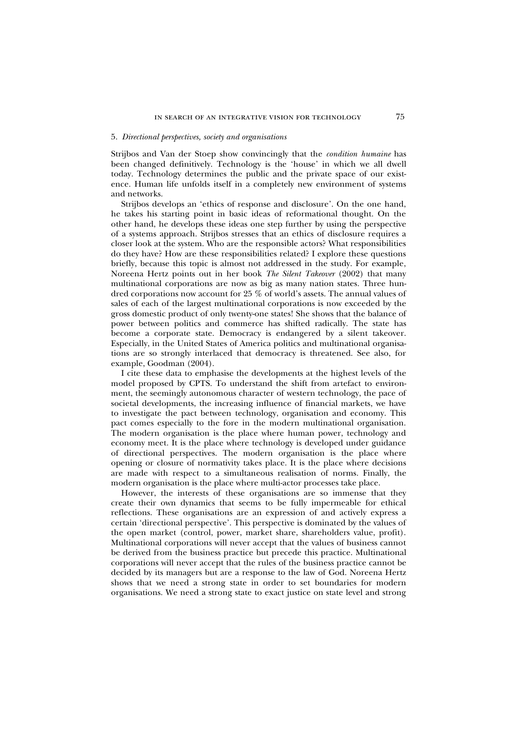# 5. *Directional perspectives, society and organisations*

Strijbos and Van der Stoep show convincingly that the *condition humaine* has been changed definitively. Technology is the 'house' in which we all dwell today. Technology determines the public and the private space of our existence. Human life unfolds itself in a completely new environment of systems and networks.

Strijbos develops an 'ethics of response and disclosure'. On the one hand, he takes his starting point in basic ideas of reformational thought. On the other hand, he develops these ideas one step further by using the perspective of a systems approach. Strijbos stresses that an ethics of disclosure requires a closer look at the system. Who are the responsible actors? What responsibilities do they have? How are these responsibilities related? I explore these questions briefly, because this topic is almost not addressed in the study. For example, Noreena Hertz points out in her book *The Silent Takeover* (2002) that many multinational corporations are now as big as many nation states. Three hundred corporations now account for 25 % of world's assets. The annual values of sales of each of the largest multinational corporations is now exceeded by the gross domestic product of only twenty-one states! She shows that the balance of power between politics and commerce has shifted radically. The state has become a corporate state. Democracy is endangered by a silent takeover. Especially, in the United States of America politics and multinational organisations are so strongly interlaced that democracy is threatened. See also, for example, Goodman (2004).

I cite these data to emphasise the developments at the highest levels of the model proposed by CPTS. To understand the shift from artefact to environment, the seemingly autonomous character of western technology, the pace of societal developments, the increasing influence of financial markets, we have to investigate the pact between technology, organisation and economy. This pact comes especially to the fore in the modern multinational organisation. The modern organisation is the place where human power, technology and economy meet. It is the place where technology is developed under guidance of directional perspectives. The modern organisation is the place where opening or closure of normativity takes place. It is the place where decisions are made with respect to a simultaneous realisation of norms. Finally, the modern organisation is the place where multi-actor processes take place.

However, the interests of these organisations are so immense that they create their own dynamics that seems to be fully impermeable for ethical reflections. These organisations are an expression of and actively express a certain 'directional perspective'. This perspective is dominated by the values of the open market (control, power, market share, shareholders value, profit). Multinational corporations will never accept that the values of business cannot be derived from the business practice but precede this practice. Multinational corporations will never accept that the rules of the business practice cannot be decided by its managers but are a response to the law of God. Noreena Hertz shows that we need a strong state in order to set boundaries for modern organisations. We need a strong state to exact justice on state level and strong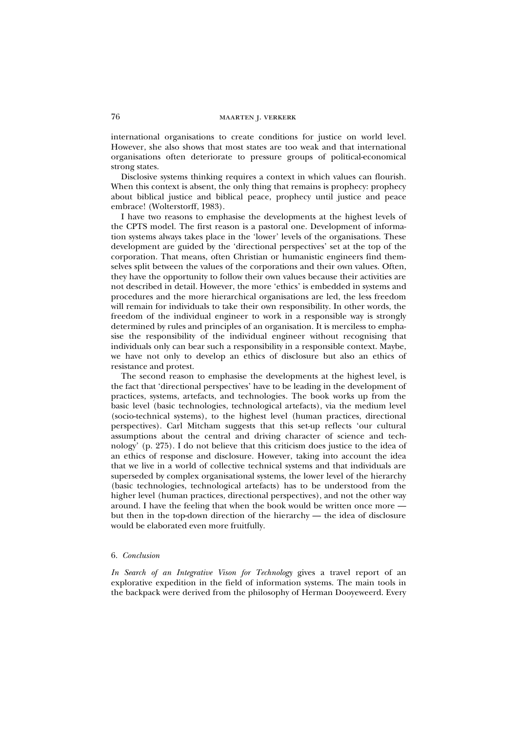# 76 maarten j. verkerk

international organisations to create conditions for justice on world level. However, she also shows that most states are too weak and that international organisations often deteriorate to pressure groups of political-economical strong states.

Disclosive systems thinking requires a context in which values can flourish. When this context is absent, the only thing that remains is prophecy: prophecy about biblical justice and biblical peace, prophecy until justice and peace embrace! (Wolterstorff, 1983).

I have two reasons to emphasise the developments at the highest levels of the CPTS model. The first reason is a pastoral one. Development of information systems always takes place in the 'lower' levels of the organisations. These development are guided by the 'directional perspectives' set at the top of the corporation. That means, often Christian or humanistic engineers find themselves split between the values of the corporations and their own values. Often, they have the opportunity to follow their own values because their activities are not described in detail. However, the more 'ethics' is embedded in systems and procedures and the more hierarchical organisations are led, the less freedom will remain for individuals to take their own responsibility. In other words, the freedom of the individual engineer to work in a responsible way is strongly determined by rules and principles of an organisation. It is merciless to emphasise the responsibility of the individual engineer without recognising that individuals only can bear such a responsibility in a responsible context. Maybe, we have not only to develop an ethics of disclosure but also an ethics of resistance and protest.

The second reason to emphasise the developments at the highest level, is the fact that 'directional perspectives' have to be leading in the development of practices, systems, artefacts, and technologies. The book works up from the basic level (basic technologies, technological artefacts), via the medium level (socio-technical systems), to the highest level (human practices, directional perspectives). Carl Mitcham suggests that this set-up reflects 'our cultural assumptions about the central and driving character of science and technology' (p. 275). I do not believe that this criticism does justice to the idea of an ethics of response and disclosure. However, taking into account the idea that we live in a world of collective technical systems and that individuals are superseded by complex organisational systems, the lower level of the hierarchy (basic technologies, technological artefacts) has to be understood from the higher level (human practices, directional perspectives), and not the other way around. I have the feeling that when the book would be written once more but then in the top-down direction of the hierarchy — the idea of disclosure would be elaborated even more fruitfully.

#### 6. *Conclusion*

*In Search of an Integrative Vison for Technology* gives a travel report of an explorative expedition in the field of information systems. The main tools in the backpack were derived from the philosophy of Herman Dooyeweerd. Every